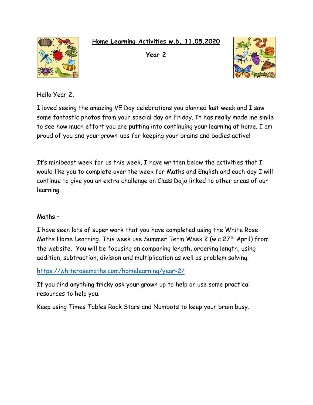**Home Learning Activities w.b. 11.05.2020**



**Year 2** 



Hello Year 2,

I loved seeing the amazing VE Day celebrations you planned last week and I saw some fantastic photos from your special day on Friday. It has really made me smile to see how much effort you are putting into continuing your learning at home. I am proud of you and your grown-ups for keeping your brains and bodies active!

It's minibeast week for us this week. I have written below the activities that I would like you to complete over the week for Maths and English and each day I will continue to give you an extra challenge on Class Dojo linked to other areas of our learning.

# **Maths** –

I have seen lots of super work that you have completed using the White Rose Maths Home Learning. This week use Summer Term Week 2 (w.c 27<sup>th</sup> April) from the website. You will be focusing on comparing length, ordering length, using addition, subtraction, division and multiplication as well as problem solving.

<https://whiterosemaths.com/homelearning/year-2/>

If you find anything tricky ask your grown up to help or use some practical resources to help you.

Keep using Times Tables Rock Stars and Numbots to keep your brain busy.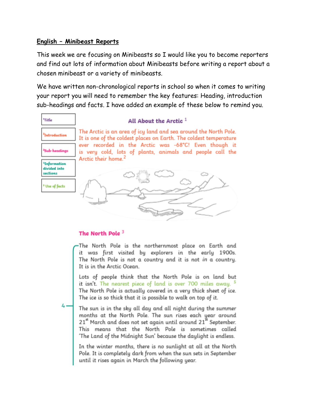### **English – Minibeast Reports**

This week we are focusing on Minibeasts so I would like you to become reporters and find out lots of information about Minibeasts before writing a report about a chosen minibeast or a variety of minibeasts.

We have written non-chronological reports in school so when it comes to writing your report you will need to remember the key features: Heading, introduction sub-headings and facts. I have added an example of these below to remind you.



### The North Pole  $^3$

The North Pole is the northernmost place on Earth and it was first visited by explorers in the early 1900s. The North Pole is not a country and it is not in a country. It is in the Arctic Ocean.

Lots of people think that the North Pole is on land but it isn't. The nearest piece of land is over 700 miles away. <sup>5</sup> The North Pole is actually covered in a very thick sheet of ice. The ice is so thick that it is possible to walk on top of it.

The sun is in the sky all day and all night during the summer months at the North Pole. The sun rises each year around 21" March and does not set again until around 21" September. This means that the North Pole is sometimes called 'The Land of the Midnight Sun' because the daylight is endless.

In the winter months, there is no sunlight at all at the North Pole. It is completely dark from when the sun sets in September until it rises again in March the following year.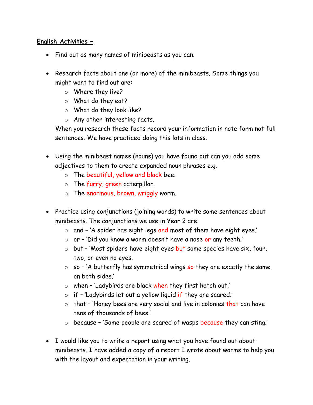## **English Activities –**

- Find out as many names of minibeasts as you can.
- Research facts about one (or more) of the minibeasts. Some things you might want to find out are:
	- o Where they live?
	- o What do they eat?
	- o What do they look like?
	- o Any other interesting facts.

When you research these facts record your information in note form not full sentences. We have practiced doing this lots in class.

- Using the minibeast names (nouns) you have found out can you add some adjectives to them to create expanded noun phrases e.g.
	- o The beautiful, yellow and black bee.
	- $\circ$  The furry, green caterpillar.
	- o The enormous, brown, wriggly worm.
- Practice using conjunctions (joining words) to write some sentences about minibeasts. The conjunctions we use in Year 2 are:
	- o and 'A spider has eight legs and most of them have eight eyes.'
	- o or 'Did you know a worm doesn't have a nose or any teeth.'
	- o but 'Most spiders have eight eyes but some species have six, four, two, or even no eyes.
	- $\circ$  so 'A butterfly has symmetrical wings so they are exactly the same on both sides.'
	- o when 'Ladybirds are black when they first hatch out.'
	- o if 'Ladybirds let out a yellow liquid if they are scared.'
	- $\circ$  that 'Honey bees are very social and live in colonies that can have tens of thousands of bees.'
	- o because 'Some people are scared of wasps because they can sting.'
- I would like you to write a report using what you have found out about minibeasts. I have added a copy of a report I wrote about worms to help you with the layout and expectation in your writing.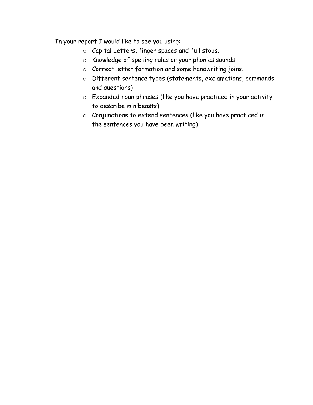In your report I would like to see you using:

- o Capital Letters, finger spaces and full stops.
- o Knowledge of spelling rules or your phonics sounds.
- o Correct letter formation and some handwriting joins.
- o Different sentence types (statements, exclamations, commands and questions)
- o Expanded noun phrases (like you have practiced in your activity to describe minibeasts)
- o Conjunctions to extend sentences (like you have practiced in the sentences you have been writing)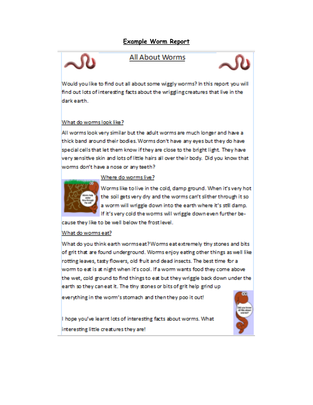## **Example Worm Report**

## **All About Worms**



Would you like to find out all about some wiggly worms? In this report you will find out lots of interesting facts about the wriggling creatures that live in the dark earth...

#### What do worms look like?

All worms look very similar but the adult worms are much longer and have a thick band around their bodies. Worms don't have any eyes but they do have special cells that let them know if they are close to the bright light. They have very sensitive skin and lots of little hairs all over their body. Did you know that worms don't have a nose or any teeth?

#### Where do worms live?



Worms like to live in the cold, damp ground. When it's very hot the soil gets very dry and the worms can't slither through it so a worm will wriggle down into the earth where it's still damp. If it's very cold the worms will wriggle down even further be-

cause they like to be well below the frost level.

#### What do worms eat?

What do you think earth wormseat? Worms eat extremely tiny stones and bits of grit that are found underground. Worms enjoy eating other things as well like rotting leaves, tasty flowers, old fruit and dead insects. The best time for a worm to eat is at night when it's cool. If a worm wants food they come above the wet, cold ground to find things to eat but they wriggle back down under the earth so they can eat it. The tiny stones or bits of grit help grind up

everything in the worm's stomach and then they poo it out!

I hope you've learnt lots of interesting facts about worms. What interesting little creatures they are!

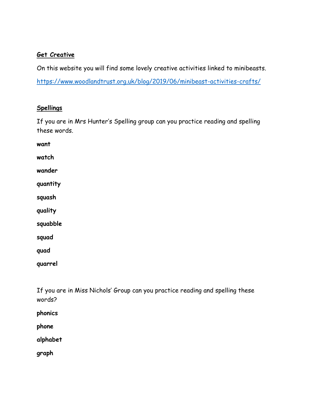### **Get Creative**

On this website you will find some lovely creative activities linked to minibeasts.

<https://www.woodlandtrust.org.uk/blog/2019/06/minibeast-activities-crafts/>

### **Spellings**

If you are in Mrs Hunter's Spelling group can you practice reading and spelling these words.

**want**

**watch**

**wander**

**quantity**

**squash**

**quality**

**squabble**

**squad**

**quad**

**quarrel**

If you are in Miss Nichols' Group can you practice reading and spelling these words?

**phonics**

**phone**

**alphabet**

**graph**